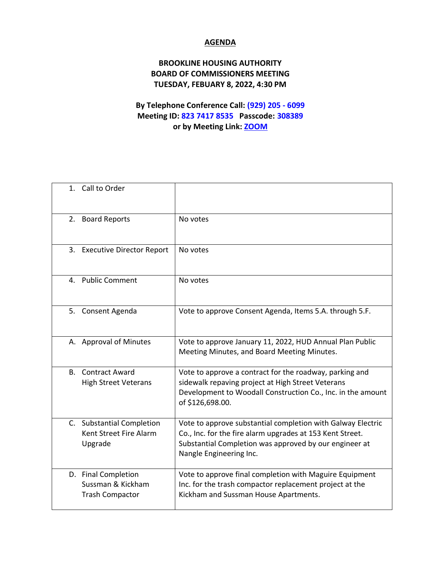## **AGENDA**

## **BROOKLINE HOUSING AUTHORITY BOARD OF COMMISSIONERS MEETING TUESDAY, FEBUARY 8, 2022, 4:30 PM**

## **By Telephone Conference Call: (929) 205 - 6099 Meeting ID: 823 7417 8535 Passcode: 308389 or by Meeting Link: [ZOOM](https://us02web.zoom.us/j/82374178535?pwd=VFVOa2ZaalE5cTlNR0xmdWVvK1Jodz09)**

| 1. Call to Order                                                   |                                                                                                                                                                                                               |
|--------------------------------------------------------------------|---------------------------------------------------------------------------------------------------------------------------------------------------------------------------------------------------------------|
| 2. Board Reports                                                   | No votes                                                                                                                                                                                                      |
| 3. Executive Director Report                                       | No votes                                                                                                                                                                                                      |
| 4. Public Comment                                                  | No votes                                                                                                                                                                                                      |
| 5. Consent Agenda                                                  | Vote to approve Consent Agenda, Items 5.A. through 5.F.                                                                                                                                                       |
| A. Approval of Minutes                                             | Vote to approve January 11, 2022, HUD Annual Plan Public<br>Meeting Minutes, and Board Meeting Minutes.                                                                                                       |
| <b>Contract Award</b><br>B.<br><b>High Street Veterans</b>         | Vote to approve a contract for the roadway, parking and<br>sidewalk repaving project at High Street Veterans<br>Development to Woodall Construction Co., Inc. in the amount<br>of \$126,698.00.               |
| C. Substantial Completion<br>Kent Street Fire Alarm<br>Upgrade     | Vote to approve substantial completion with Galway Electric<br>Co., Inc. for the fire alarm upgrades at 153 Kent Street.<br>Substantial Completion was approved by our engineer at<br>Nangle Engineering Inc. |
| D. Final Completion<br>Sussman & Kickham<br><b>Trash Compactor</b> | Vote to approve final completion with Maguire Equipment<br>Inc. for the trash compactor replacement project at the<br>Kickham and Sussman House Apartments.                                                   |